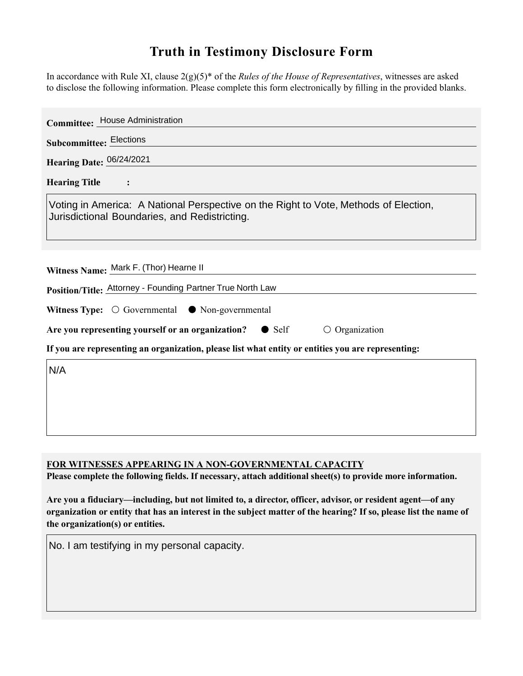## **Truth in Testimony Disclosure Form**

In accordance with Rule XI, clause 2(g)(5)\* of the *Rules of the House of Representatives*, witnesses are asked to disclose the following information. Please complete this form electronically by filling in the provided blanks.

| <b>Committee: House Administration</b>                                                                                                |
|---------------------------------------------------------------------------------------------------------------------------------------|
| <b>Subcommittee: Elections</b>                                                                                                        |
| Hearing Date: 06/24/2021                                                                                                              |
| <b>Hearing Title</b>                                                                                                                  |
| Voting in America: A National Perspective on the Right to Vote, Methods of Election,<br>Jurisdictional Boundaries, and Redistricting. |
| Witness Name: Mark F. (Thor) Hearne II                                                                                                |
| Position/Title: Attorney - Founding Partner True North Law                                                                            |
| Witness Type: $\bigcirc$ Governmental $\bullet$ Non-governmental                                                                      |
| Are you representing yourself or an organization? • Self<br>$\circ$ Organization                                                      |
| If you are representing an organization, please list what entity or entities you are representing:                                    |
| N/A                                                                                                                                   |

**FOR WITNESSES APPEARING IN A NON-GOVERNMENTAL CAPACITY**

**Please complete the following fields. If necessary, attach additional sheet(s) to provide more information.**

**Are you a fiduciary—including, but not limited to, a director, officer, advisor, or resident agent—of any organization or entity that has an interest in the subject matter of the hearing? If so, please list the name of the organization(s) or entities.**

No. I am testifying in my personal capacity.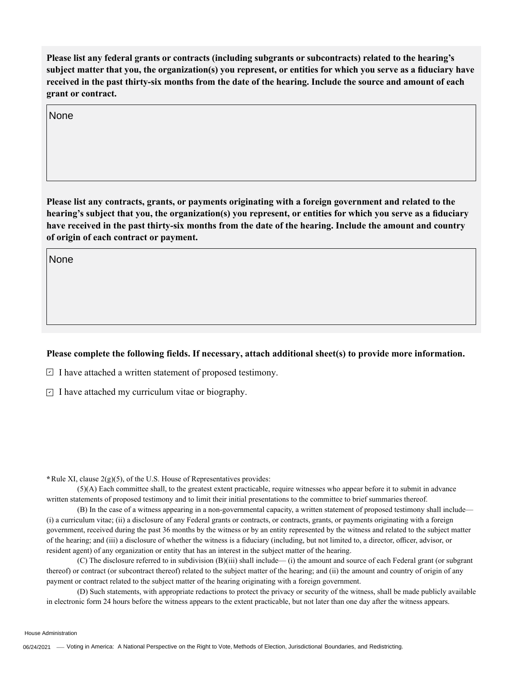**Please list any federal grants or contracts (including subgrants or subcontracts) related to the hearing's subject matter that you, the organization(s) you represent, or entities for which you serve as a fiduciary have received in the past thirty-six months from the date of the hearing. Include the source and amount of each grant or contract.** 

None

**Please list any contracts, grants, or payments originating with a foreign government and related to the hearing's subject that you, the organization(s) you represent, or entities for which you serve as a fiduciary have received in the past thirty-six months from the date of the hearing. Include the amount and country of origin of each contract or payment.** 

None

## **Please complete the following fields. If necessary, attach additional sheet(s) to provide more information.**

 $\exists$  I have attached a written statement of proposed testimony.

 $\subseteq$  I have attached my curriculum vitae or biography.

**\***Rule XI, clause 2(g)(5), of the U.S. House of Representatives provides:

(5)(A) Each committee shall, to the greatest extent practicable, require witnesses who appear before it to submit in advance written statements of proposed testimony and to limit their initial presentations to the committee to brief summaries thereof.

(B) In the case of a witness appearing in a non-governmental capacity, a written statement of proposed testimony shall include— (i) a curriculum vitae; (ii) a disclosure of any Federal grants or contracts, or contracts, grants, or payments originating with a foreign government, received during the past 36 months by the witness or by an entity represented by the witness and related to the subject matter of the hearing; and (iii) a disclosure of whether the witness is a fiduciary (including, but not limited to, a director, officer, advisor, or resident agent) of any organization or entity that has an interest in the subject matter of the hearing.

(C) The disclosure referred to in subdivision (B)(iii) shall include— (i) the amount and source of each Federal grant (or subgrant thereof) or contract (or subcontract thereof) related to the subject matter of the hearing; and (ii) the amount and country of origin of any payment or contract related to the subject matter of the hearing originating with a foreign government.

(D) Such statements, with appropriate redactions to protect the privacy or security of the witness, shall be made publicly available in electronic form 24 hours before the witness appears to the extent practicable, but not later than one day after the witness appears.

House Administration